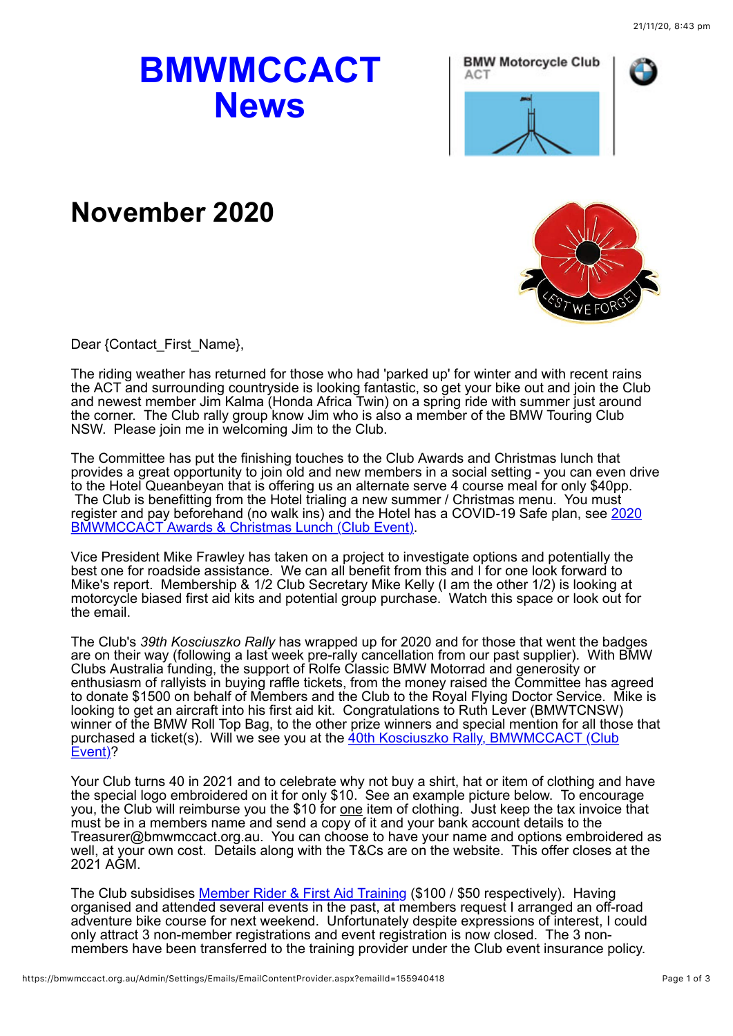## **BMWMCCACT News**



## **November 2020**



Dear {Contact\_First\_Name},

The riding weather has returned for those who had 'parked up' for winter and with recent rains the ACT and surrounding countryside is looking fantastic, so get your bike out and join the Club and newest member Jim Kalma (Honda Africa Twin) on a spring ride with summer just around the corner. The Club rally group know Jim who is also a member of the BMW Touring Club NSW. Please join me in welcoming Jim to the Club.

The Committee has put the finishing touches to the Club Awards and Christmas lunch that provides a great opportunity to join old and new members in a social setting - you can even drive to the Hotel Queanbeyan that is offering us an alternate serve 4 course meal for only \$40pp. The Club is benefitting from the Hotel trialing a new summer / Christmas menu. You must [register and pay beforehand \(no walk ins\) and the Hotel has a COVID-19 Safe plan, see 2020](https://bmwmccact.org.au/event-3908827) BMWMCCACT Awards & Christmas Lunch (Club Event).

Vice President Mike Frawley has taken on a project to investigate options and potentially the best one for roadside assistance. We can all benefit from this and I for one look forward to Mike's report. Membership & 1/2 Club Secretary Mike Kelly (I am the other 1/2) is looking at motorcycle biased first aid kits and potential group purchase. Watch this space or look out for the email.

The Club's *39th Kosciuszko Rally* has wrapped up for 2020 and for those that went the badges are on their way (following a last week pre-rally cancellation from our past supplier). With BMW Clubs Australia funding, the support of Rolfe Classic BMW Motorrad and generosity or enthusiasm of rallyists in buying raffle tickets, from the money raised the Committee has agreed to donate \$1500 on behalf of Members and the Club to the Royal Flying Doctor Service. Mike is looking to get an aircraft into his first aid kit. Congratulations to Ruth Lever (BMWTCNSW) winner of the BMW Roll Top Bag, to the other prize winners and special mention for all those that [purchased a ticket\(s\). Will we see you at the 40th Kosciuszko Rally, BMWMCCACT \(Club](https://bmwmccact.org.au/event-3365761) Event)?

Your Club turns 40 in 2021 and to celebrate why not buy a shirt, hat or item of clothing and have the special logo embroidered on it for only \$10. See an example picture below. To encourage you, the Club will reimburse you the \$10 for <u>one</u> item of clothing. Just keep the tax invoice that must be in a members name and send a copy of it and your bank account details to the Treasurer@bmwmccact.org.au. You can choose to have your name and options embroidered as well, at your own cost. Details along with the T&Cs are on the website. This offer closes at the 2021 AGM.

The Club subsidises [Member Rider & First Aid Training](https://bmwmccact.org.au/Member-Rider-Training) (\$100 / \$50 respectively). Having organised and attended several events in the past, at members request I arranged an off-road adventure bike course for next weekend. Unfortunately despite expressions of interest, I could only attract 3 non-member registrations and event registration is now closed. The 3 nonmembers have been transferred to the training provider under the Club event insurance policy.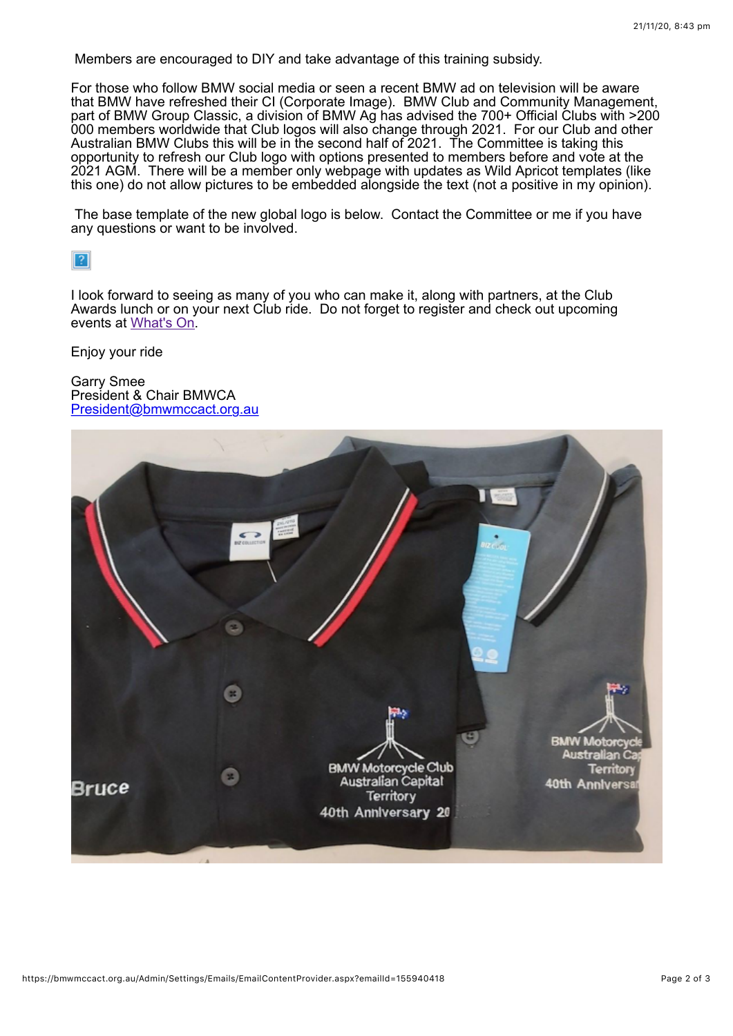Members are encouraged to DIY and take advantage of this training subsidy.

For those who follow BMW social media or seen a recent BMW ad on television will be aware that BMW have refreshed their CI (Corporate Image). BMW Club and Community Management, part of BMW Group Classic, a division of BMW Ag has advised the 700+ Official Clubs with >200 000 members worldwide that Club logos will also change through 2021. For our Club and other Australian BMW Clubs this will be in the second half of 2021. The Committee is taking this opportunity to refresh our Club logo with options presented to members before and vote at the 2021 AGM. There will be a member only webpage with updates as Wild Apricot templates (like this one) do not allow pictures to be embedded alongside the text (not a positive in my opinion).

 The base template of the new global logo is below. Contact the Committee or me if you have any questions or want to be involved.

 $\sqrt{2}$ 

I look forward to seeing as many of you who can make it, along with partners, at the Club Awards lunch or on your next Club ride. Do not forget to register and check out upcoming events at [What's On](https://bmwmccact.org.au/page-1419638).

Enjoy your ride

Garry Smee President & Chair BMWCA [President@bmwmccact.org.au](mailto:President@bmwmccact.org.au)